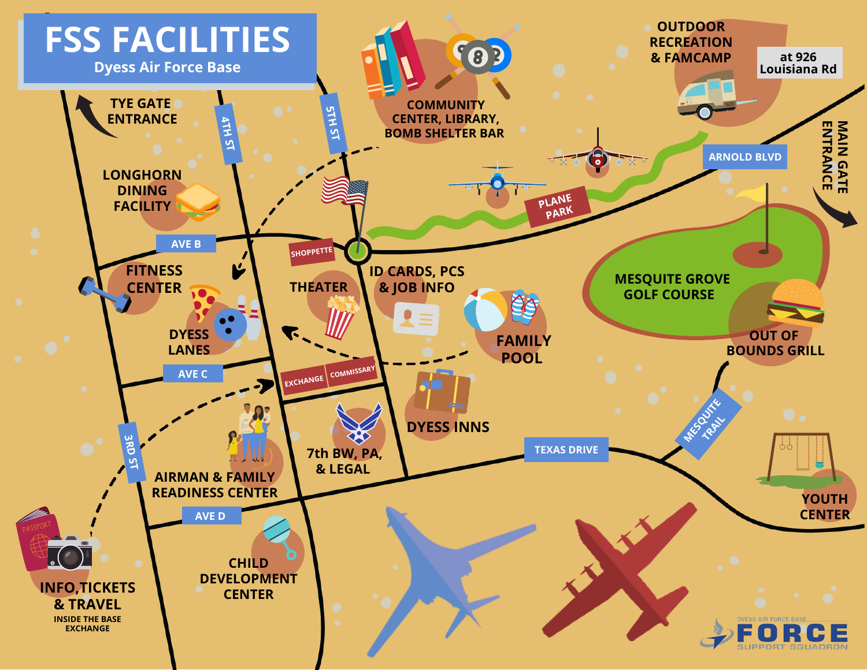